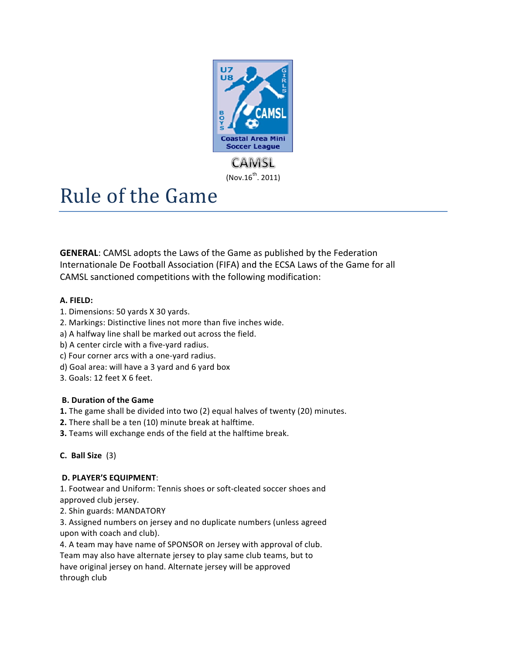

# Rule of the Game

**GENERAL:** CAMSL adopts the Laws of the Game as published by the Federation Internationale De Football Association (FIFA) and the ECSA Laws of the Game for all CAMSL sanctioned competitions with the following modification:

# **A.!FIELD:**

- 1. Dimensions: 50 yards X 30 yards.
- 2. Markings: Distinctive lines not more than five inches wide.
- a) A halfway line shall be marked out across the field.
- b) A center circle with a five-yard radius.
- c) Four corner arcs with a one-yard radius.
- d) Goal area: will have a 3 yard and 6 yard box
- 3. Goals: 12 feet X 6 feet.

# **B.** Duration of the Game

- **1.** The game shall be divided into two (2) equal halves of twenty (20) minutes.
- **2.** There shall be a ten (10) minute break at halftime.
- **3.** Teams will exchange ends of the field at the halftime break.

# **C. Ball Size**\*\*(3)

# **D.!PLAYER'S!EQUIPMENT**:

1. Footwear and Uniform: Tennis shoes or soft-cleated soccer shoes and approved club jersey.

2. Shin guards: MANDATORY

3. Assigned numbers on jersey and no duplicate numbers (unless agreed upon with coach and club).

4. A team may have name of SPONSOR on Jersey with approval of club. Team may also have alternate jersey to play same club teams, but to have original jersey on hand. Alternate jersey will be approved through club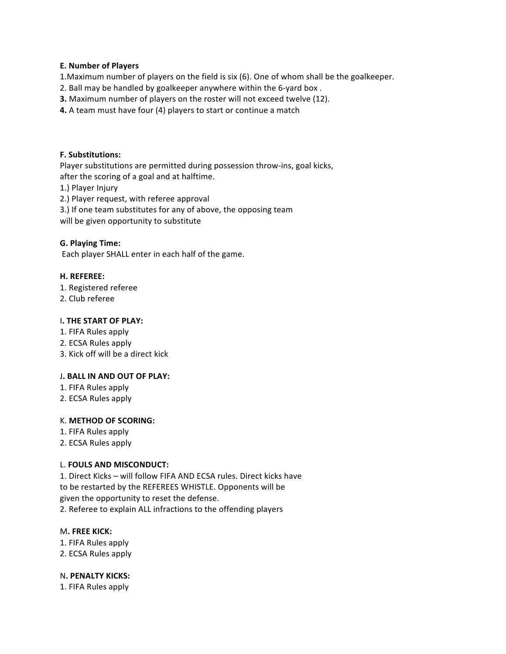## **E. Number of Players**

1. Maximum number of players on the field is six (6). One of whom shall be the goalkeeper.

- 2. Ball may be handled by goalkeeper anywhere within the 6-yard box.
- **3.** Maximum number of players on the roster will not exceed twelve (12).
- **4.** A team must have four (4) players to start or continue a match

#### **F.!Substitutions:**

Player substitutions are permitted during possession throw-ins, goal kicks,

after the scoring of a goal and at halftime.

1.) Player Injury

2.) Player request, with referee approval

3.) If one team substitutes for any of above, the opposing team

will be given opportunity to substitute

#### **G.!Playing!Time:**

Each player SHALL enter in each half of the game.

#### **H.!REFEREE:**

- 1. Registered referee
- 2. Club referee

#### **I. THE START OF PLAY:**

- 1. FIFA Rules apply
- 2. ECSA Rules apply
- 3. Kick off will be a direct kick

#### **J. BALL IN AND OUT OF PLAY:**

- 1. FIFA Rules apply
- 2. ECSA Rules apply

#### K. **METHOD OF SCORING:**

- 1. FIFA Rules apply
- 2. ECSA Rules apply

#### L. **FOULS AND MISCONDUCT:**

1. Direct Kicks – will follow FIFA AND ECSA rules. Direct kicks have to be restarted by the REFEREES WHISTLE. Opponents will be given the opportunity to reset the defense. 2. Referee to explain ALL infractions to the offending players

#### M**.!FREE!KICK:**

- 1. FIFA Rules apply
- 2. ECSA Rules apply

#### N**.!PENALTY!KICKS:**

1. FIFA Rules apply